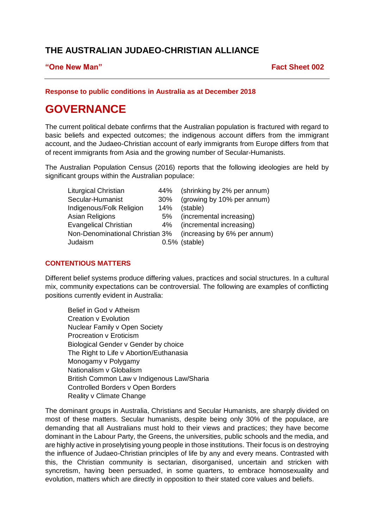# **THE AUSTRALIAN JUDAEO-CHRISTIAN ALLIANCE**

## **"One New Man" Fact Sheet 002**

# **Response to public conditions in Australia as at December 2018**

# **GOVERNANCE**

The current political debate confirms that the Australian population is fractured with regard to basic beliefs and expected outcomes; the indigenous account differs from the immigrant account, and the Judaeo-Christian account of early immigrants from Europe differs from that of recent immigrants from Asia and the growing number of Secular-Humanists.

The Australian Population Census (2016) reports that the following ideologies are held by significant groups within the Australian populace:

| Liturgical Christian         | 44% | (shrinking by 2% per annum)                                  |
|------------------------------|-----|--------------------------------------------------------------|
| Secular-Humanist             | 30% | (growing by 10% per annum)                                   |
| Indigenous/Folk Religion     | 14% | (stable)                                                     |
| Asian Religions              | 5%  | (incremental increasing)                                     |
| <b>Evangelical Christian</b> | 4%  | (incremental increasing)                                     |
|                              |     | Non-Denominational Christian 3% (increasing by 6% per annum) |
| Judaism                      |     | $0.5\%$ (stable)                                             |

## **CONTENTIOUS MATTERS**

Different belief systems produce differing values, practices and social structures. In a cultural mix, community expectations can be controversial. The following are examples of conflicting positions currently evident in Australia:

Belief in God v Atheism Creation v Evolution Nuclear Family v Open Society Procreation v Eroticism Biological Gender v Gender by choice The Right to Life v Abortion/Euthanasia Monogamy v Polygamy Nationalism v Globalism British Common Law v Indigenous Law/Sharia Controlled Borders v Open Borders Reality v Climate Change

The dominant groups in Australia, Christians and Secular Humanists, are sharply divided on most of these matters. Secular humanists, despite being only 30% of the populace, are demanding that all Australians must hold to their views and practices; they have become dominant in the Labour Party, the Greens, the universities, public schools and the media, and are highly active in proselytising young people in those institutions. Their focus is on destroying the influence of Judaeo-Christian principles of life by any and every means. Contrasted with this, the Christian community is sectarian, disorganised, uncertain and stricken with syncretism, having been persuaded, in some quarters, to embrace homosexuality and evolution, matters which are directly in opposition to their stated core values and beliefs.